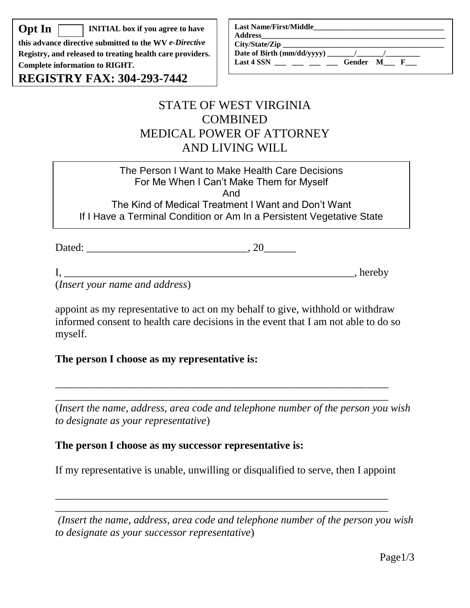**Opt In INITIAL box if you agree to have** 

**this advance directive submitted to the WV** *e-Directive* **Registry, and released to treating health care providers. Complete information to RIGHT.**

**REGISTRY FAX: 304-293-7442**

| <b>Last Name/First/Middle</b> |            |  |
|-------------------------------|------------|--|
|                               |            |  |
|                               |            |  |
|                               |            |  |
| Last 4 SSN $\_\_$ $\_\_$      | Gender M F |  |
|                               |            |  |

## STATE OF WEST VIRGINIA COMBINED MEDICAL POWER OF ATTORNEY AND LIVING WILL

The Person I Want to Make Health Care Decisions For Me When I Can't Make Them for Myself And The Kind of Medical Treatment I Want and Don't Want

If I Have a Terminal Condition or Am In a Persistent Vegetative State

Dated:  $\qquad \qquad \qquad .20$ 

I, the contract of the contract of the contract of the contract of the contract of the contract of the contract of the contract of the contract of the contract of the contract of the contract of the contract of the contrac

(*Insert your name and address*)

appoint as my representative to act on my behalf to give, withhold or withdraw informed consent to health care decisions in the event that I am not able to do so myself.

## **The person I choose as my representative is:**

(*Insert the name, address, area code and telephone number of the person you wish to designate as your representative*)

\_\_\_\_\_\_\_\_\_\_\_\_\_\_\_\_\_\_\_\_\_\_\_\_\_\_\_\_\_\_\_\_\_\_\_\_\_\_\_\_\_\_\_\_\_\_\_\_\_\_\_\_\_\_\_\_\_\_\_\_\_\_ \_\_\_\_\_\_\_\_\_\_\_\_\_\_\_\_\_\_\_\_\_\_\_\_\_\_\_\_\_\_\_\_\_\_\_\_\_\_\_\_\_\_\_\_\_\_\_\_\_\_\_\_\_\_\_\_\_\_\_\_\_\_

## **The person I choose as my successor representative is:**

If my representative is unable, unwilling or disqualified to serve, then I appoint

\_\_\_\_\_\_\_\_\_\_\_\_\_\_\_\_\_\_\_\_\_\_\_\_\_\_\_\_\_\_\_\_\_\_\_\_\_\_\_\_\_\_\_\_\_\_\_\_\_\_\_\_\_\_\_\_\_\_\_\_\_\_ \_\_\_\_\_\_\_\_\_\_\_\_\_\_\_\_\_\_\_\_\_\_\_\_\_\_\_\_\_\_\_\_\_\_\_\_\_\_\_\_\_\_\_\_\_\_\_\_\_\_\_\_\_\_\_\_\_\_\_\_\_\_

*(Insert the name, address, area code and telephone number of the person you wish to designate as your successor representative*)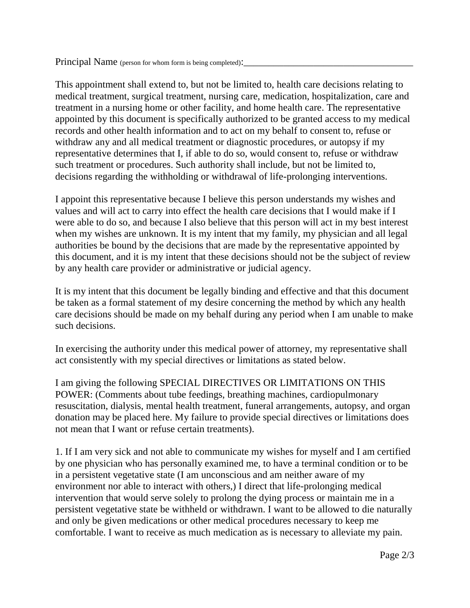Principal Name (person for whom form is being completed):

This appointment shall extend to, but not be limited to, health care decisions relating to medical treatment, surgical treatment, nursing care, medication, hospitalization, care and treatment in a nursing home or other facility, and home health care. The representative appointed by this document is specifically authorized to be granted access to my medical records and other health information and to act on my behalf to consent to, refuse or withdraw any and all medical treatment or diagnostic procedures, or autopsy if my representative determines that I, if able to do so, would consent to, refuse or withdraw such treatment or procedures. Such authority shall include, but not be limited to, decisions regarding the withholding or withdrawal of life-prolonging interventions.

I appoint this representative because I believe this person understands my wishes and values and will act to carry into effect the health care decisions that I would make if I were able to do so, and because I also believe that this person will act in my best interest when my wishes are unknown. It is my intent that my family, my physician and all legal authorities be bound by the decisions that are made by the representative appointed by this document, and it is my intent that these decisions should not be the subject of review by any health care provider or administrative or judicial agency.

It is my intent that this document be legally binding and effective and that this document be taken as a formal statement of my desire concerning the method by which any health care decisions should be made on my behalf during any period when I am unable to make such decisions.

In exercising the authority under this medical power of attorney, my representative shall act consistently with my special directives or limitations as stated below.

I am giving the following SPECIAL DIRECTIVES OR LIMITATIONS ON THIS POWER: (Comments about tube feedings, breathing machines, cardiopulmonary resuscitation, dialysis, mental health treatment, funeral arrangements, autopsy, and organ donation may be placed here. My failure to provide special directives or limitations does not mean that I want or refuse certain treatments).

1. If I am very sick and not able to communicate my wishes for myself and I am certified by one physician who has personally examined me, to have a terminal condition or to be in a persistent vegetative state (I am unconscious and am neither aware of my environment nor able to interact with others,) I direct that life-prolonging medical intervention that would serve solely to prolong the dying process or maintain me in a persistent vegetative state be withheld or withdrawn. I want to be allowed to die naturally and only be given medications or other medical procedures necessary to keep me comfortable. I want to receive as much medication as is necessary to alleviate my pain.